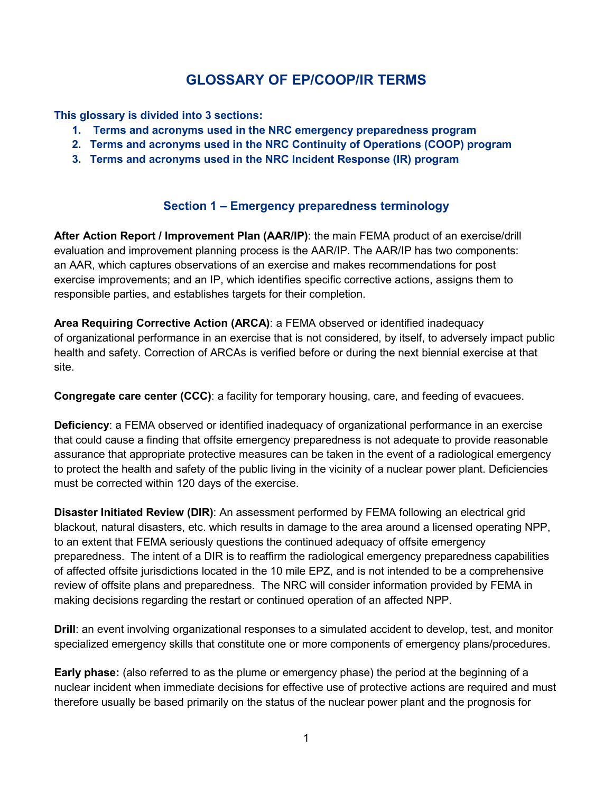# **GLOSSARY OF EP/COOP/IR TERMS**

**This glossary is divided into 3 sections:**

- **1. Terms and acronyms used in the NRC emergency preparedness program**
- **2. Terms and acronyms used in the NRC Continuity of Operations (COOP) program**
- **3. Terms and acronyms used in the NRC Incident Response (IR) program**

## **Section 1 – Emergency preparedness terminology**

**After Action Report / Improvement Plan (AAR/IP)**: the main FEMA product of an exercise/drill evaluation and improvement planning process is the AAR/IP. The AAR/IP has two components: an AAR, which captures observations of an exercise and makes recommendations for post exercise improvements; and an IP, which identifies specific corrective actions, assigns them to responsible parties, and establishes targets for their completion.

**Area Requiring Corrective Action (ARCA)**: a FEMA observed or identified inadequacy of organizational performance in an exercise that is not considered, by itself, to adversely impact public health and safety. Correction of ARCAs is verified before or during the next biennial exercise at that site.

**Congregate care center (CCC)**: a facility for temporary housing, care, and feeding of evacuees.

**Deficiency**: a FEMA observed or identified inadequacy of organizational performance in an exercise that could cause a finding that offsite emergency preparedness is not adequate to provide reasonable assurance that appropriate protective measures can be taken in the event of a radiological emergency to protect the health and safety of the public living in the vicinity of a nuclear power plant. Deficiencies must be corrected within 120 days of the exercise.

**Disaster Initiated Review (DIR)**: An assessment performed by FEMA following an electrical grid blackout, natural disasters, etc. which results in damage to the area around a licensed operating NPP, to an extent that FEMA seriously questions the continued adequacy of offsite emergency preparedness. The intent of a DIR is to reaffirm the radiological emergency preparedness capabilities of affected offsite jurisdictions located in the 10 mile EPZ, and is not intended to be a comprehensive review of offsite plans and preparedness. The NRC will consider information provided by FEMA in making decisions regarding the restart or continued operation of an affected NPP.

**Drill**: an event involving organizational responses to a simulated accident to develop, test, and monitor specialized emergency skills that constitute one or more components of emergency plans/procedures.

**Early phase:** (also referred to as the plume or emergency phase) the period at the beginning of a nuclear incident when immediate decisions for effective use of protective actions are required and must therefore usually be based primarily on the status of the nuclear power plant and the prognosis for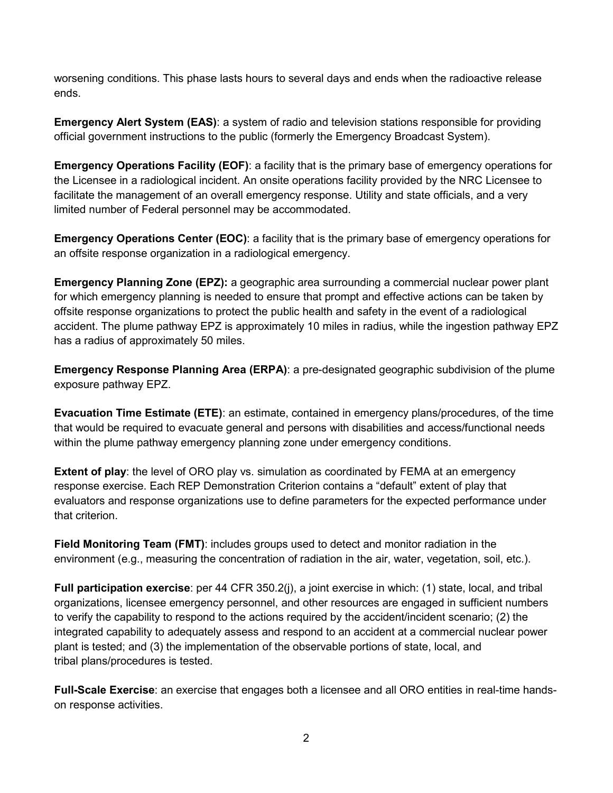worsening conditions. This phase lasts hours to several days and ends when the radioactive release ends.

**Emergency Alert System (EAS)**: a system of radio and television stations responsible for providing official government instructions to the public (formerly the Emergency Broadcast System).

**Emergency Operations Facility (EOF)**: a facility that is the primary base of emergency operations for the Licensee in a radiological incident. An onsite operations facility provided by the NRC Licensee to facilitate the management of an overall emergency response. Utility and state officials, and a very limited number of Federal personnel may be accommodated.

**Emergency Operations Center (EOC)**: a facility that is the primary base of emergency operations for an offsite response organization in a radiological emergency.

**Emergency Planning Zone (EPZ):** a geographic area surrounding a commercial nuclear power plant for which emergency planning is needed to ensure that prompt and effective actions can be taken by offsite response organizations to protect the public health and safety in the event of a radiological accident. The plume pathway EPZ is approximately 10 miles in radius, while the ingestion pathway EPZ has a radius of approximately 50 miles.

**Emergency Response Planning Area (ERPA)**: a pre-designated geographic subdivision of the plume exposure pathway EPZ.

**Evacuation Time Estimate (ETE)**: an estimate, contained in emergency plans/procedures, of the time that would be required to evacuate general and persons with disabilities and access/functional needs within the plume pathway emergency planning zone under emergency conditions.

**Extent of play**: the level of ORO play vs. simulation as coordinated by FEMA at an emergency response exercise. Each REP Demonstration Criterion contains a "default" extent of play that evaluators and response organizations use to define parameters for the expected performance under that criterion.

**Field Monitoring Team (FMT)**: includes groups used to detect and monitor radiation in the environment (e.g., measuring the concentration of radiation in the air, water, vegetation, soil, etc.).

**Full participation exercise**: per 44 CFR 350.2(j), a joint exercise in which: (1) state, local, and tribal organizations, licensee emergency personnel, and other resources are engaged in sufficient numbers to verify the capability to respond to the actions required by the accident/incident scenario; (2) the integrated capability to adequately assess and respond to an accident at a commercial nuclear power plant is tested; and (3) the implementation of the observable portions of state, local, and tribal plans/procedures is tested.

**Full-Scale Exercise**: an exercise that engages both a licensee and all ORO entities in real-time handson response activities.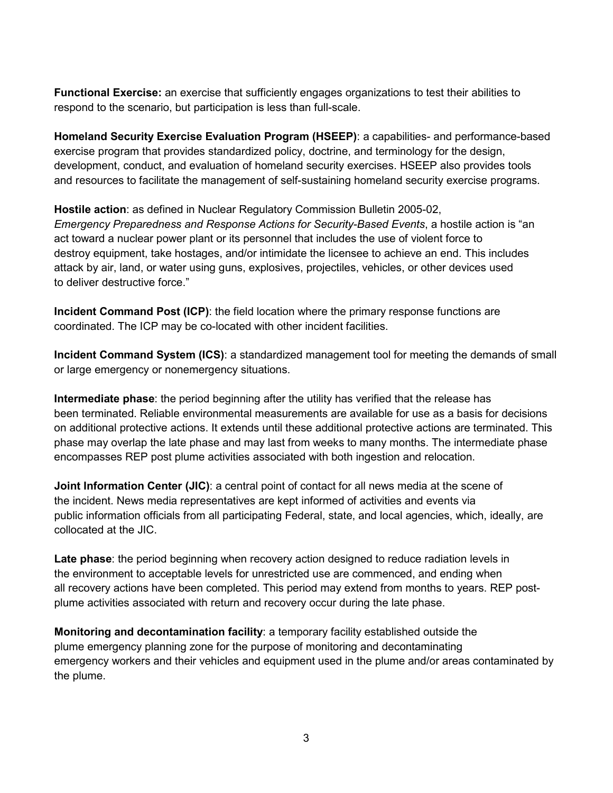**Functional Exercise:** an exercise that sufficiently engages organizations to test their abilities to respond to the scenario, but participation is less than full-scale.

**Homeland Security Exercise Evaluation Program (HSEEP)**: a capabilities- and performance-based exercise program that provides standardized policy, doctrine, and terminology for the design, development, conduct, and evaluation of homeland security exercises. HSEEP also provides tools and resources to facilitate the management of self-sustaining homeland security exercise programs.

**Hostile action**: as defined in Nuclear Regulatory Commission Bulletin 2005-02, *Emergency Preparedness and Response Actions for Security-Based Events*, a hostile action is "an act toward a nuclear power plant or its personnel that includes the use of violent force to destroy equipment, take hostages, and/or intimidate the licensee to achieve an end. This includes attack by air, land, or water using guns, explosives, projectiles, vehicles, or other devices used to deliver destructive force."

**Incident Command Post (ICP)**: the field location where the primary response functions are coordinated. The ICP may be co-located with other incident facilities.

**Incident Command System (ICS)**: a standardized management tool for meeting the demands of small or large emergency or nonemergency situations.

**Intermediate phase**: the period beginning after the utility has verified that the release has been terminated. Reliable environmental measurements are available for use as a basis for decisions on additional protective actions. It extends until these additional protective actions are terminated. This phase may overlap the late phase and may last from weeks to many months. The intermediate phase encompasses REP post plume activities associated with both ingestion and relocation.

**Joint Information Center (JIC)**: a central point of contact for all news media at the scene of the incident. News media representatives are kept informed of activities and events via public information officials from all participating Federal, state, and local agencies, which, ideally, are collocated at the JIC.

**Late phase**: the period beginning when recovery action designed to reduce radiation levels in the environment to acceptable levels for unrestricted use are commenced, and ending when all recovery actions have been completed. This period may extend from months to years. REP postplume activities associated with return and recovery occur during the late phase.

**Monitoring and decontamination facility**: a temporary facility established outside the plume emergency planning zone for the purpose of monitoring and decontaminating emergency workers and their vehicles and equipment used in the plume and/or areas contaminated by the plume.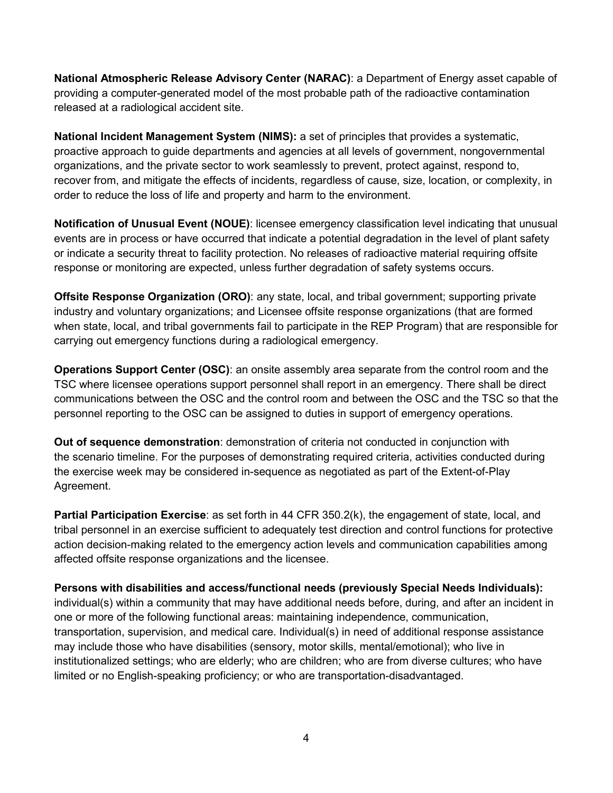**National Atmospheric Release Advisory Center (NARAC)**: a Department of Energy asset capable of providing a computer-generated model of the most probable path of the radioactive contamination released at a radiological accident site.

**National Incident Management System (NIMS):** a set of principles that provides a systematic, proactive approach to guide departments and agencies at all levels of government, nongovernmental organizations, and the private sector to work seamlessly to prevent, protect against, respond to, recover from, and mitigate the effects of incidents, regardless of cause, size, location, or complexity, in order to reduce the loss of life and property and harm to the environment.

**Notification of Unusual Event (NOUE)**: licensee emergency classification level indicating that unusual events are in process or have occurred that indicate a potential degradation in the level of plant safety or indicate a security threat to facility protection. No releases of radioactive material requiring offsite response or monitoring are expected, unless further degradation of safety systems occurs.

**Offsite Response Organization (ORO)**: any state, local, and tribal government; supporting private industry and voluntary organizations; and Licensee offsite response organizations (that are formed when state, local, and tribal governments fail to participate in the REP Program) that are responsible for carrying out emergency functions during a radiological emergency.

**Operations Support Center (OSC)**: an onsite assembly area separate from the control room and the TSC where licensee operations support personnel shall report in an emergency. There shall be direct communications between the OSC and the control room and between the OSC and the TSC so that the personnel reporting to the OSC can be assigned to duties in support of emergency operations.

**Out of sequence demonstration**: demonstration of criteria not conducted in conjunction with the scenario timeline. For the purposes of demonstrating required criteria, activities conducted during the exercise week may be considered in-sequence as negotiated as part of the Extent-of-Play Agreement.

**Partial Participation Exercise**: as set forth in 44 CFR 350.2(k), the engagement of state, local, and tribal personnel in an exercise sufficient to adequately test direction and control functions for protective action decision-making related to the emergency action levels and communication capabilities among affected offsite response organizations and the licensee.

**Persons with disabilities and access/functional needs (previously Special Needs Individuals):**  individual(s) within a community that may have additional needs before, during, and after an incident in one or more of the following functional areas: maintaining independence, communication, transportation, supervision, and medical care. Individual(s) in need of additional response assistance may include those who have disabilities (sensory, motor skills, mental/emotional); who live in institutionalized settings; who are elderly; who are children; who are from diverse cultures; who have limited or no English-speaking proficiency; or who are transportation-disadvantaged.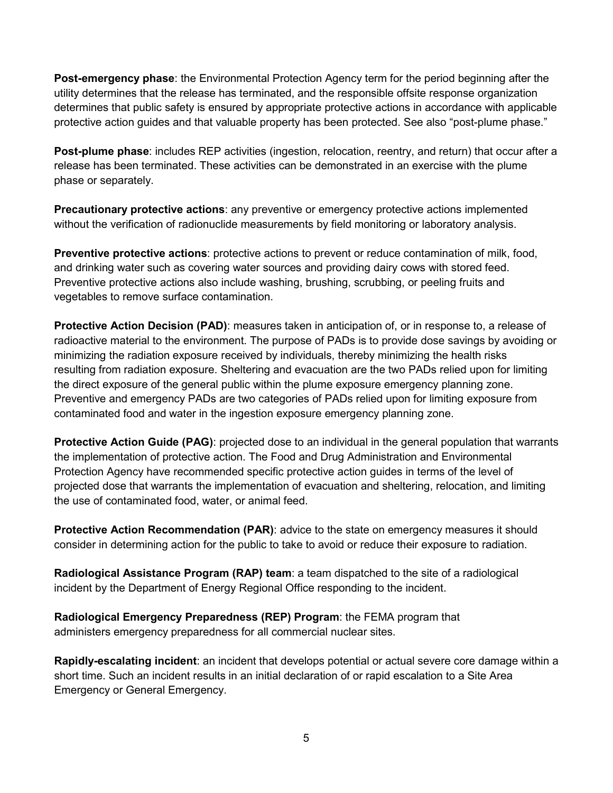**Post-emergency phase**: the Environmental Protection Agency term for the period beginning after the utility determines that the release has terminated, and the responsible offsite response organization determines that public safety is ensured by appropriate protective actions in accordance with applicable protective action guides and that valuable property has been protected. See also "post-plume phase."

**Post-plume phase**: includes REP activities (ingestion, relocation, reentry, and return) that occur after a release has been terminated. These activities can be demonstrated in an exercise with the plume phase or separately.

**Precautionary protective actions**: any preventive or emergency protective actions implemented without the verification of radionuclide measurements by field monitoring or laboratory analysis.

**Preventive protective actions**: protective actions to prevent or reduce contamination of milk, food, and drinking water such as covering water sources and providing dairy cows with stored feed. Preventive protective actions also include washing, brushing, scrubbing, or peeling fruits and vegetables to remove surface contamination.

**Protective Action Decision (PAD)**: measures taken in anticipation of, or in response to, a release of radioactive material to the environment. The purpose of PADs is to provide dose savings by avoiding or minimizing the radiation exposure received by individuals, thereby minimizing the health risks resulting from radiation exposure. Sheltering and evacuation are the two PADs relied upon for limiting the direct exposure of the general public within the plume exposure emergency planning zone. Preventive and emergency PADs are two categories of PADs relied upon for limiting exposure from contaminated food and water in the ingestion exposure emergency planning zone.

**Protective Action Guide (PAG)**: projected dose to an individual in the general population that warrants the implementation of protective action. The Food and Drug Administration and Environmental Protection Agency have recommended specific protective action guides in terms of the level of projected dose that warrants the implementation of evacuation and sheltering, relocation, and limiting the use of contaminated food, water, or animal feed.

**Protective Action Recommendation (PAR):** advice to the state on emergency measures it should consider in determining action for the public to take to avoid or reduce their exposure to radiation.

**Radiological Assistance Program (RAP) team**: a team dispatched to the site of a radiological incident by the Department of Energy Regional Office responding to the incident.

**Radiological Emergency Preparedness (REP) Program**: the FEMA program that administers emergency preparedness for all commercial nuclear sites.

**Rapidly-escalating incident**: an incident that develops potential or actual severe core damage within a short time. Such an incident results in an initial declaration of or rapid escalation to a Site Area Emergency or General Emergency.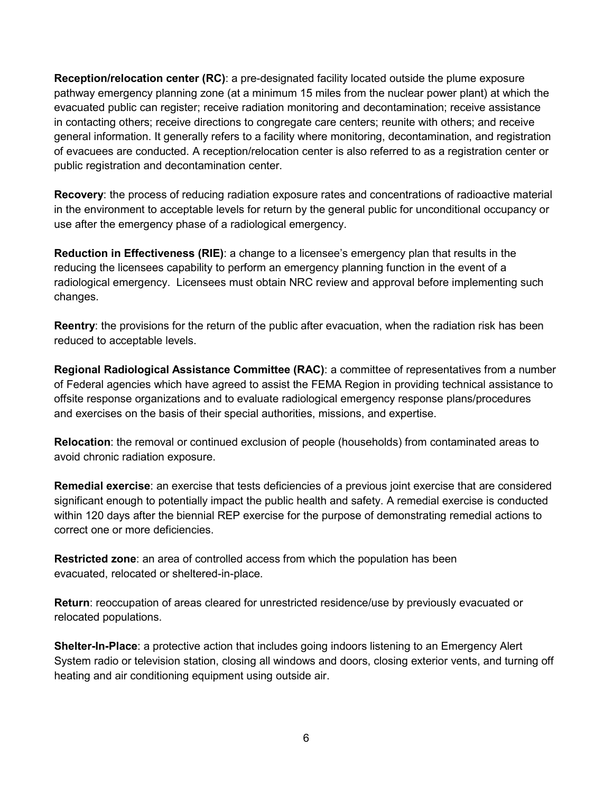**Reception/relocation center (RC)**: a pre-designated facility located outside the plume exposure pathway emergency planning zone (at a minimum 15 miles from the nuclear power plant) at which the evacuated public can register; receive radiation monitoring and decontamination; receive assistance in contacting others; receive directions to congregate care centers; reunite with others; and receive general information. It generally refers to a facility where monitoring, decontamination, and registration of evacuees are conducted. A reception/relocation center is also referred to as a registration center or public registration and decontamination center.

**Recovery**: the process of reducing radiation exposure rates and concentrations of radioactive material in the environment to acceptable levels for return by the general public for unconditional occupancy or use after the emergency phase of a radiological emergency.

**Reduction in Effectiveness (RIE)**: a change to a licensee's emergency plan that results in the reducing the licensees capability to perform an emergency planning function in the event of a radiological emergency. Licensees must obtain NRC review and approval before implementing such changes.

**Reentry**: the provisions for the return of the public after evacuation, when the radiation risk has been reduced to acceptable levels.

**Regional Radiological Assistance Committee (RAC)**: a committee of representatives from a number of Federal agencies which have agreed to assist the FEMA Region in providing technical assistance to offsite response organizations and to evaluate radiological emergency response plans/procedures and exercises on the basis of their special authorities, missions, and expertise.

**Relocation**: the removal or continued exclusion of people (households) from contaminated areas to avoid chronic radiation exposure.

**Remedial exercise**: an exercise that tests deficiencies of a previous joint exercise that are considered significant enough to potentially impact the public health and safety. A remedial exercise is conducted within 120 days after the biennial REP exercise for the purpose of demonstrating remedial actions to correct one or more deficiencies.

**Restricted zone**: an area of controlled access from which the population has been evacuated, relocated or sheltered-in-place.

**Return**: reoccupation of areas cleared for unrestricted residence/use by previously evacuated or relocated populations.

**Shelter-In-Place**: a protective action that includes going indoors listening to an Emergency Alert System radio or television station, closing all windows and doors, closing exterior vents, and turning off heating and air conditioning equipment using outside air.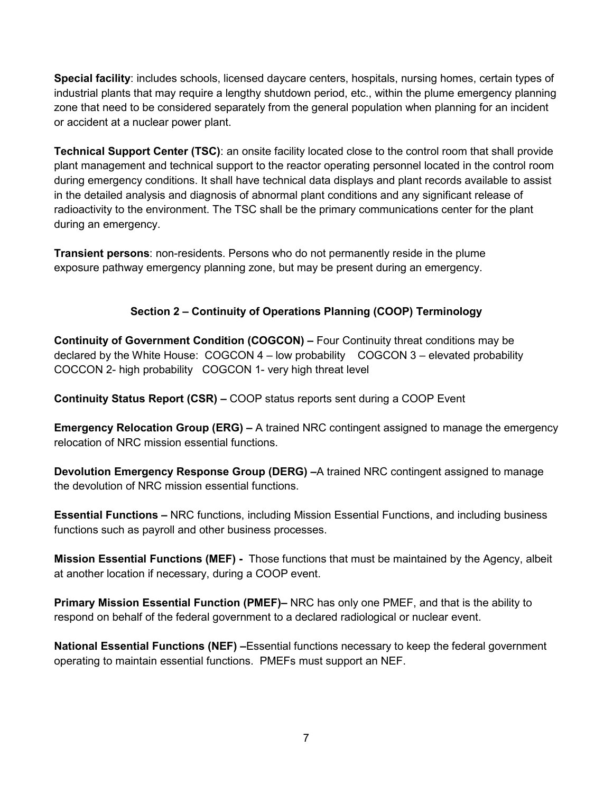**Special facility**: includes schools, licensed daycare centers, hospitals, nursing homes, certain types of industrial plants that may require a lengthy shutdown period, etc., within the plume emergency planning zone that need to be considered separately from the general population when planning for an incident or accident at a nuclear power plant.

**Technical Support Center (TSC)**: an onsite facility located close to the control room that shall provide plant management and technical support to the reactor operating personnel located in the control room during emergency conditions. It shall have technical data displays and plant records available to assist in the detailed analysis and diagnosis of abnormal plant conditions and any significant release of radioactivity to the environment. The TSC shall be the primary communications center for the plant during an emergency.

**Transient persons**: non-residents. Persons who do not permanently reside in the plume exposure pathway emergency planning zone, but may be present during an emergency.

### **Section 2 – Continuity of Operations Planning (COOP) Terminology**

**Continuity of Government Condition (COGCON) –** Four Continuity threat conditions may be declared by the White House: COGCON 4 – low probability COGCON 3 – elevated probability COCCON 2- high probability COGCON 1- very high threat level

**Continuity Status Report (CSR) –** COOP status reports sent during a COOP Event

**Emergency Relocation Group (ERG) –** A trained NRC contingent assigned to manage the emergency relocation of NRC mission essential functions.

**Devolution Emergency Response Group (DERG) –**A trained NRC contingent assigned to manage the devolution of NRC mission essential functions.

**Essential Functions –** NRC functions, including Mission Essential Functions, and including business functions such as payroll and other business processes.

**Mission Essential Functions (MEF) -** Those functions that must be maintained by the Agency, albeit at another location if necessary, during a COOP event.

**Primary Mission Essential Function (PMEF)–** NRC has only one PMEF, and that is the ability to respond on behalf of the federal government to a declared radiological or nuclear event.

**National Essential Functions (NEF) –**Essential functions necessary to keep the federal government operating to maintain essential functions. PMEFs must support an NEF.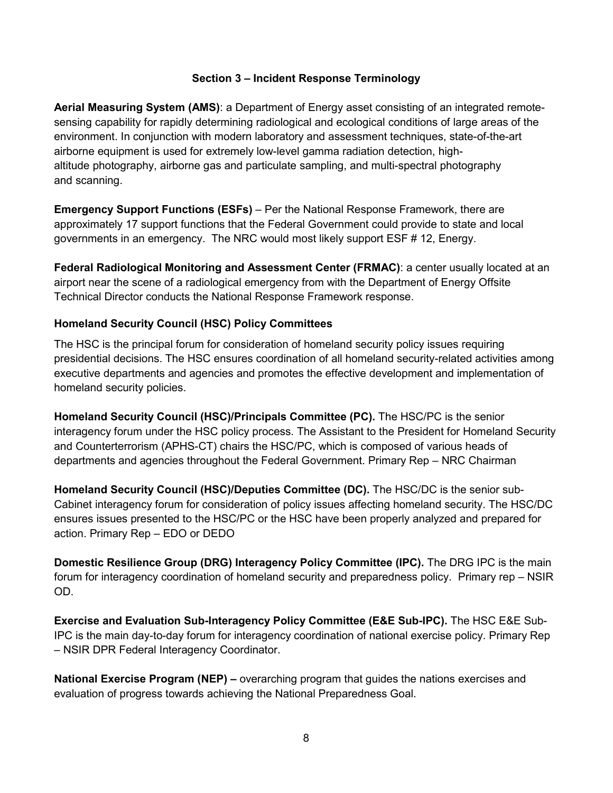#### **Section 3 – Incident Response Terminology**

**Aerial Measuring System (AMS)**: a Department of Energy asset consisting of an integrated remotesensing capability for rapidly determining radiological and ecological conditions of large areas of the environment. In conjunction with modern laboratory and assessment techniques, state-of-the-art airborne equipment is used for extremely low-level gamma radiation detection, highaltitude photography, airborne gas and particulate sampling, and multi-spectral photography and scanning.

**Emergency Support Functions (ESFs)** – Per the National Response Framework, there are approximately 17 support functions that the Federal Government could provide to state and local governments in an emergency. The NRC would most likely support ESF # 12, Energy.

**Federal Radiological Monitoring and Assessment Center (FRMAC)**: a center usually located at an airport near the scene of a radiological emergency from with the Department of Energy Offsite Technical Director conducts the National Response Framework response.

#### **Homeland Security Council (HSC) Policy Committees**

The HSC is the principal forum for consideration of homeland security policy issues requiring presidential decisions. The HSC ensures coordination of all homeland security-related activities among executive departments and agencies and promotes the effective development and implementation of homeland security policies.

**Homeland Security Council (HSC)/Principals Committee (PC).** The HSC/PC is the senior interagency forum under the HSC policy process. The Assistant to the President for Homeland Security and Counterterrorism (APHS-CT) chairs the HSC/PC, which is composed of various heads of departments and agencies throughout the Federal Government. Primary Rep – NRC Chairman

**Homeland Security Council (HSC)/Deputies Committee (DC).** The HSC/DC is the senior sub-Cabinet interagency forum for consideration of policy issues affecting homeland security. The HSC/DC ensures issues presented to the HSC/PC or the HSC have been properly analyzed and prepared for action. Primary Rep – EDO or DEDO

**Domestic Resilience Group (DRG) Interagency Policy Committee (IPC).** The DRG IPC is the main forum for interagency coordination of homeland security and preparedness policy. Primary rep – NSIR OD.

**Exercise and Evaluation Sub-Interagency Policy Committee (E&E Sub-IPC).** The HSC E&E Sub-IPC is the main day-to-day forum for interagency coordination of national exercise policy. Primary Rep – NSIR DPR Federal Interagency Coordinator.

**National Exercise Program (NEP) –** overarching program that guides the nations exercises and evaluation of progress towards achieving the National Preparedness Goal.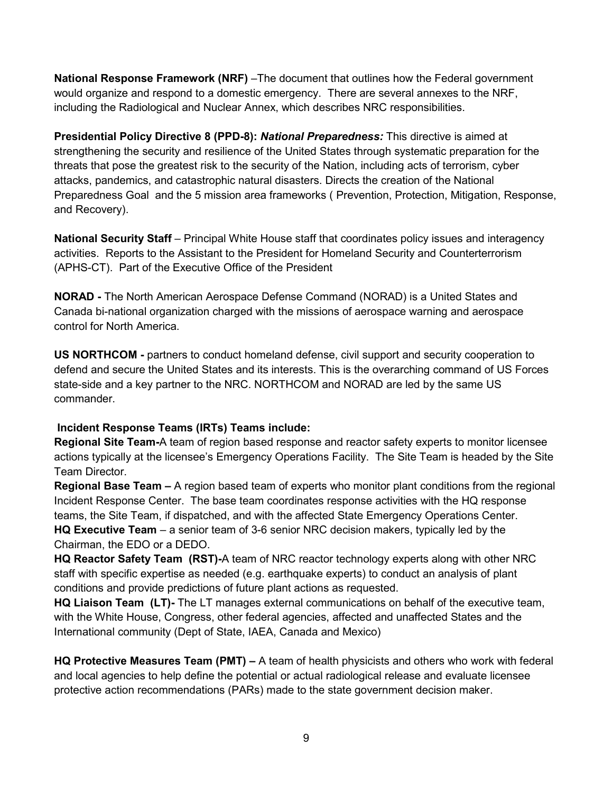**National Response Framework (NRF)** –The document that outlines how the Federal government would organize and respond to a domestic emergency. There are several annexes to the NRF, including the Radiological and Nuclear Annex, which describes NRC responsibilities.

**Presidential Policy Directive 8 (PPD-8):** *National Preparedness:* This directive is aimed at strengthening the security and resilience of the United States through systematic preparation for the threats that pose the greatest risk to the security of the Nation, including acts of terrorism, cyber attacks, pandemics, and catastrophic natural disasters. Directs the creation of the National Preparedness Goal and the 5 mission area frameworks ( Prevention, Protection, Mitigation, Response, and Recovery).

**National Security Staff** – Principal White House staff that coordinates policy issues and interagency activities. Reports to the Assistant to the President for Homeland Security and Counterterrorism (APHS-CT). Part of the Executive Office of the President

**NORAD -** The North American Aerospace Defense Command (NORAD) is a United States and Canada bi-national organization charged with the missions of aerospace warning and aerospace control for North America.

**US NORTHCOM -** partners to conduct homeland defense, civil support and security cooperation to defend and secure the United States and its interests. This is the overarching command of US Forces state-side and a key partner to the NRC. NORTHCOM and NORAD are led by the same US commander.

#### **Incident Response Teams (IRTs) Teams include:**

**Regional Site Team-**A team of region based response and reactor safety experts to monitor licensee actions typically at the licensee's Emergency Operations Facility. The Site Team is headed by the Site Team Director.

**Regional Base Team –** A region based team of experts who monitor plant conditions from the regional Incident Response Center. The base team coordinates response activities with the HQ response teams, the Site Team, if dispatched, and with the affected State Emergency Operations Center. **HQ Executive Team** – a senior team of 3-6 senior NRC decision makers, typically led by the Chairman, the EDO or a DEDO.

**HQ Reactor Safety Team (RST)-**A team of NRC reactor technology experts along with other NRC staff with specific expertise as needed (e.g. earthquake experts) to conduct an analysis of plant conditions and provide predictions of future plant actions as requested.

**HQ Liaison Team (LT)-** The LT manages external communications on behalf of the executive team, with the White House, Congress, other federal agencies, affected and unaffected States and the International community (Dept of State, IAEA, Canada and Mexico)

**HQ Protective Measures Team (PMT) –** A team of health physicists and others who work with federal and local agencies to help define the potential or actual radiological release and evaluate licensee protective action recommendations (PARs) made to the state government decision maker.